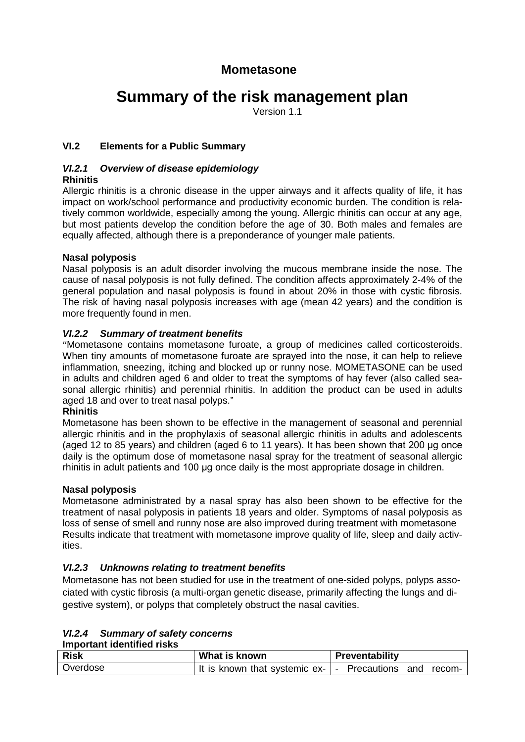# **Mometasone**

# **Summary of the risk management plan**

Version 1.1

# **VI.2 Elements for a Public Summary**

# *VI.2.1 Overview of disease epidemiology*

**Rhinitis**

Allergic rhinitis is a chronic disease in the upper airways and it affects quality of life, it has impact on work/school performance and productivity economic burden. The condition is relatively common worldwide, especially among the young. Allergic rhinitis can occur at any age, but most patients develop the condition before the age of 30. Both males and females are equally affected, although there is a preponderance of younger male patients.

# **Nasal polyposis**

Nasal polyposis is an adult disorder involving the mucous membrane inside the nose. The cause of nasal polyposis is not fully defined. The condition affects approximately 2-4% of the general population and nasal polyposis is found in about 20% in those with cystic fibrosis. The risk of having nasal polyposis increases with age (mean 42 years) and the condition is more frequently found in men.

# *VI.2.2 Summary of treatment benefits*

"Mometasone contains mometasone furoate, a group of medicines called corticosteroids. When tiny amounts of mometasone furoate are sprayed into the nose, it can help to relieve inflammation, sneezing, itching and blocked up or runny nose. MOMETASONE can be used in adults and children aged 6 and older to treat the symptoms of hay fever (also called seasonal allergic rhinitis) and perennial rhinitis. In addition the product can be used in adults aged 18 and over to treat nasal polyps."

#### **Rhinitis**

Mometasone has been shown to be effective in the management of seasonal and perennial allergic rhinitis and in the prophylaxis of seasonal allergic rhinitis in adults and adolescents (aged 12 to 85 years) and children (aged 6 to 11 years). It has been shown that 200 μg once daily is the optimum dose of mometasone nasal spray for the treatment of seasonal allergic rhinitis in adult patients and 100 μg once daily is the most appropriate dosage in children.

#### **Nasal polyposis**

Mometasone administrated by a nasal spray has also been shown to be effective for the treatment of nasal polyposis in patients 18 years and older. Symptoms of nasal polyposis as loss of sense of smell and runny nose are also improved during treatment with mometasone Results indicate that treatment with mometasone improve quality of life, sleep and daily activities.

#### *VI.2.3 Unknowns relating to treatment benefits*

Mometasone has not been studied for use in the treatment of one-sided polyps, polyps associated with cystic fibrosis (a multi-organ genetic disease, primarily affecting the lungs and digestive system), or polyps that completely obstruct the nasal cavities.

| <b>VI.2.4 Summary of safety concerns</b> |  |
|------------------------------------------|--|
| <b>Important identified risks</b>        |  |

| <b>Risk</b> | What is known                                         | Preventability            |
|-------------|-------------------------------------------------------|---------------------------|
| Overdose    | It is known that systemic $ex \overline{\phantom{a}}$ | Precautions and<br>recom- |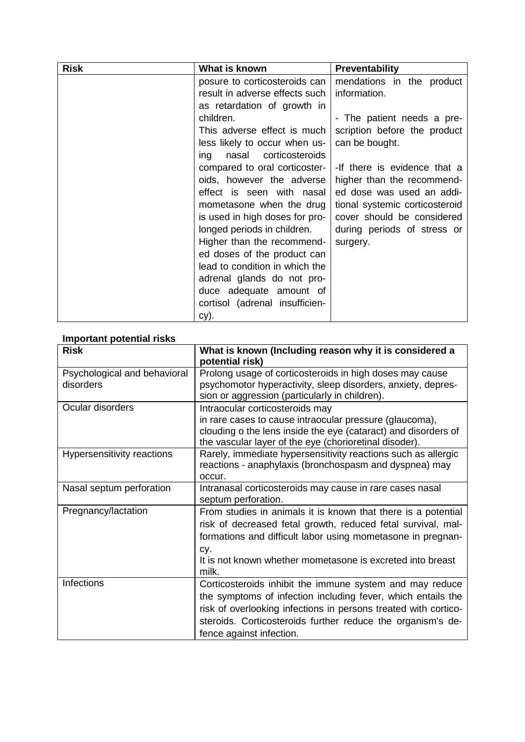| <b>Risk</b> | What is known                  | Preventability                 |
|-------------|--------------------------------|--------------------------------|
|             | posure to corticosteroids can  | mendations in the product      |
|             | result in adverse effects such | information.                   |
|             | as retardation of growth in    |                                |
|             | children.                      | - The patient needs a pre-     |
|             | This adverse effect is much    | scription before the product   |
|             | less likely to occur when us-  | can be bought.                 |
|             | nasal corticosteroids<br>ing   |                                |
|             | compared to oral corticoster-  | -If there is evidence that a   |
|             | oids, however the adverse      | higher than the recommend-     |
|             | effect is seen with nasal      | ed dose was used an addi-      |
|             | mometasone when the drug       | tional systemic corticosteroid |
|             | is used in high doses for pro- | cover should be considered     |
|             | longed periods in children.    | during periods of stress or    |
|             | Higher than the recommend-     | surgery.                       |
|             | ed doses of the product can    |                                |
|             | lead to condition in which the |                                |
|             | adrenal glands do not pro-     |                                |
|             | duce adequate amount of        |                                |
|             | cortisol (adrenal insufficien- |                                |
|             | cy).                           |                                |

#### **Important potential risks**

| <b>Risk</b>                  | What is known (Including reason why it is considered a          |  |
|------------------------------|-----------------------------------------------------------------|--|
|                              | potential risk)                                                 |  |
| Psychological and behavioral | Prolong usage of corticosteroids in high doses may cause        |  |
| disorders                    | psychomotor hyperactivity, sleep disorders, anxiety, depres-    |  |
|                              | sion or aggression (particularly in children).                  |  |
| Ocular disorders             | Intraocular corticosteroids may                                 |  |
|                              | in rare cases to cause intraocular pressure (glaucoma),         |  |
|                              | clouding o the lens inside the eye (cataract) and disorders of  |  |
|                              | the vascular layer of the eye (chorioretinal disoder).          |  |
| Hypersensitivity reactions   | Rarely, immediate hypersensitivity reactions such as allergic   |  |
|                              | reactions - anaphylaxis (bronchospasm and dyspnea) may          |  |
|                              | occur.                                                          |  |
| Nasal septum perforation     | Intranasal corticosteroids may cause in rare cases nasal        |  |
|                              | septum perforation.                                             |  |
| Pregnancy/lactation          | From studies in animals it is known that there is a potential   |  |
|                              | risk of decreased fetal growth, reduced fetal survival, mal-    |  |
|                              | formations and difficult labor using mometasone in pregnan-     |  |
|                              | CV.                                                             |  |
|                              | It is not known whether mometasone is excreted into breast      |  |
|                              | milk.                                                           |  |
| <b>Infections</b>            | Corticosteroids inhibit the immune system and may reduce        |  |
|                              | the symptoms of infection including fever, which entails the    |  |
|                              | risk of overlooking infections in persons treated with cortico- |  |
|                              | steroids. Corticosteroids further reduce the organism's de-     |  |
|                              | fence against infection.                                        |  |
|                              |                                                                 |  |